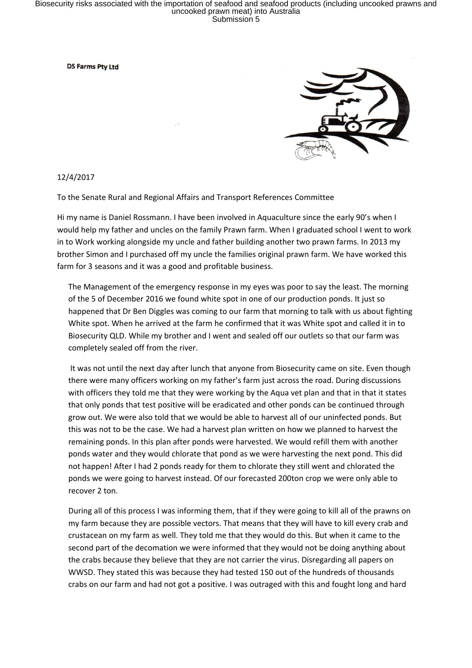## Biosecurity risks associated with the importation of seafood and seafood products (including uncooked prawns and<br>uncooked prawn meat) into Australia<br>Submission 5

**DS Farms Ptv Ltd** 



12/4/2017

To the Senate Rural and Regional Affairs and Transport References Committee

Hi my name is Daniel Rossmann. I have been involved in Aquaculture since the early 90's when I would help my father and uncles on the family Prawn farm. When I graduated school I went to work in to Work working alongside my uncle and father building another two prawn farms. In 2013 my brother Simon and I purchased off my uncle the families original prawn farm. We have worked this farm for 3 seasons and it was a good and profitable business.

The Management of the emergency response in my eyes was poor to say the least. The morning of the 5 of December 2016 we found white spot in one of our production ponds. It just so happened that Dr Ben Diggles was coming to our farm that morning to talk with us about fighting White spot. When he arrived at the farm he confirmed that it was White spot and called it in to Biosecurity QLD. While my brother and I went and sealed off our outlets so that our farm was completely sealed off from the river.

 It was not until the next day after lunch that anyone from Biosecurity came on site. Even though there were many officers working on my father's farm just across the road. During discussions with officers they told me that they were working by the Aqua vet plan and that in that it states that only ponds that test positive will be eradicated and other ponds can be continued through grow out. We were also told that we would be able to harvest all of our uninfected ponds. But this was not to be the case. We had a harvest plan written on how we planned to harvest the remaining ponds. In this plan after ponds were harvested. We would refill them with another ponds water and they would chlorate that pond as we were harvesting the next pond. This did not happen! After I had 2 ponds ready for them to chlorate they still went and chlorated the ponds we were going to harvest instead. Of our forecasted 200ton crop we were only able to recover 2 ton.

During all of this process I was informing them, that if they were going to kill all of the prawns on my farm because they are possible vectors. That means that they will have to kill every crab and crustacean on my farm as well. They told me that they would do this. But when it came to the second part of the decomation we were informed that they would not be doing anything about the crabs because they believe that they are not carrier the virus. Disregarding all papers on WWSD. They stated this was because they had tested 150 out of the hundreds of thousands crabs on our farm and had not got a positive. I was outraged with this and fought long and hard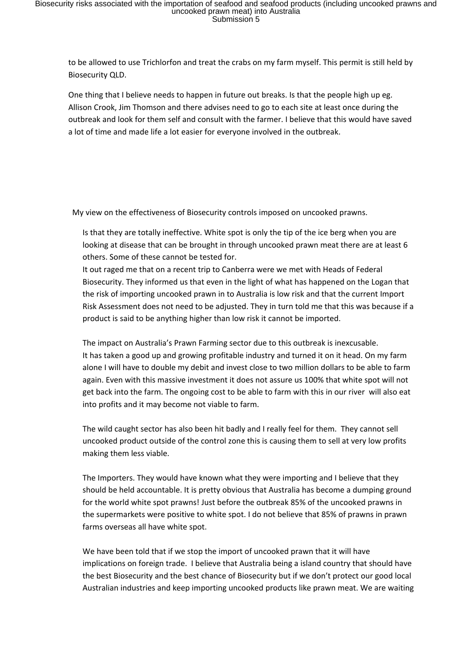to be allowed to use Trichlorfon and treat the crabs on my farm myself. This permit is still held by Biosecurity QLD.

One thing that I believe needs to happen in future out breaks. Is that the people high up eg. Allison Crook, Jim Thomson and there advises need to go to each site at least once during the outbreak and look for them self and consult with the farmer. I believe that this would have saved a lot of time and made life a lot easier for everyone involved in the outbreak.

My view on the effectiveness of Biosecurity controls imposed on uncooked prawns.

- Is that they are totally ineffective. White spot is only the tip of the ice berg when you are looking at disease that can be brought in through uncooked prawn meat there are at least 6 others. Some of these cannot be tested for.
- It out raged me that on a recent trip to Canberra were we met with Heads of Federal Biosecurity. They informed us that even in the light of what has happened on the Logan that the risk of importing uncooked prawn in to Australia is low risk and that the current Import Risk Assessment does not need to be adjusted. They in turn told me that this was because if a product is said to be anything higher than low risk it cannot be imported.

The impact on Australia's Prawn Farming sector due to this outbreak is inexcusable. It has taken a good up and growing profitable industry and turned it on it head. On my farm alone I will have to double my debit and invest close to two million dollars to be able to farm again. Even with this massive investment it does not assure us 100% that white spot will not get back into the farm. The ongoing cost to be able to farm with this in our river will also eat into profits and it may become not viable to farm.

The wild caught sector has also been hit badly and I really feel for them. They cannot sell uncooked product outside of the control zone this is causing them to sell at very low profits making them less viable.

The Importers. They would have known what they were importing and I believe that they should be held accountable. It is pretty obvious that Australia has become a dumping ground for the world white spot prawns! Just before the outbreak 85% of the uncooked prawns in the supermarkets were positive to white spot. I do not believe that 85% of prawns in prawn farms overseas all have white spot.

We have been told that if we stop the import of uncooked prawn that it will have implications on foreign trade. I believe that Australia being a island country that should have the best Biosecurity and the best chance of Biosecurity but if we don't protect our good local Australian industries and keep importing uncooked products like prawn meat. We are waiting